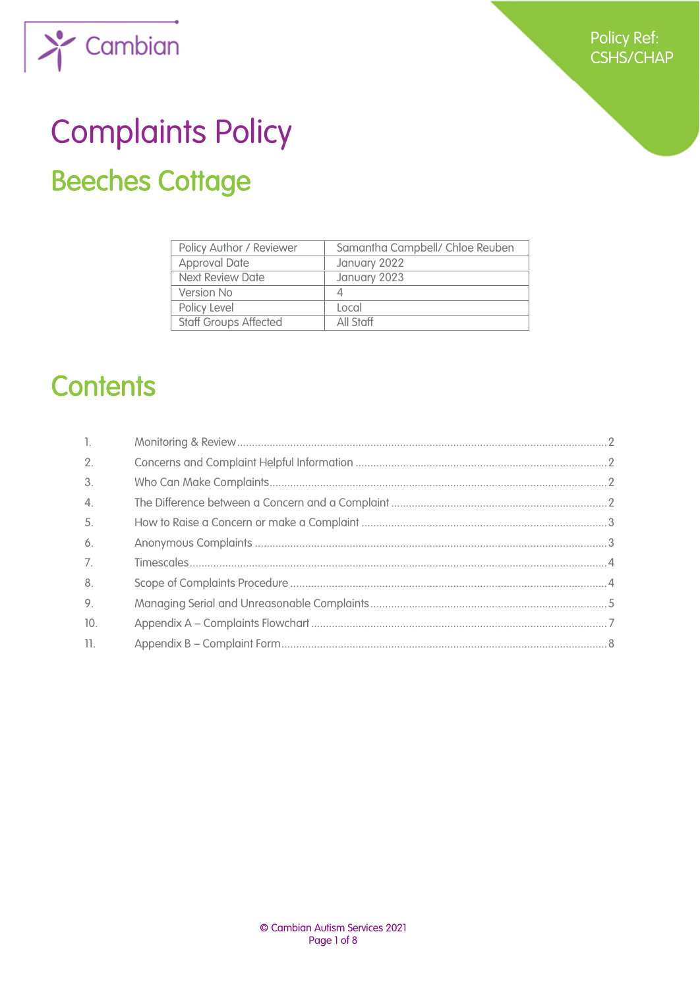

# Complaints Policy Beeches Cottage

| Policy Author / Reviewer     | Samantha Campbell/ Chloe Reuben |
|------------------------------|---------------------------------|
| <b>Approval Date</b>         | January 2022                    |
| <b>Next Review Date</b>      | January 2023                    |
| Version No                   |                                 |
| Policy Level                 | Local                           |
| <b>Staff Groups Affected</b> | All Staff                       |

# **Contents**

| $\mathbb{L}$    |  |
|-----------------|--|
| 2.              |  |
| 3.              |  |
| $\mathcal{A}$ . |  |
| 5.              |  |
| 6.              |  |
| 7.              |  |
| 8.              |  |
| 9.              |  |
| 10.             |  |
| 11.             |  |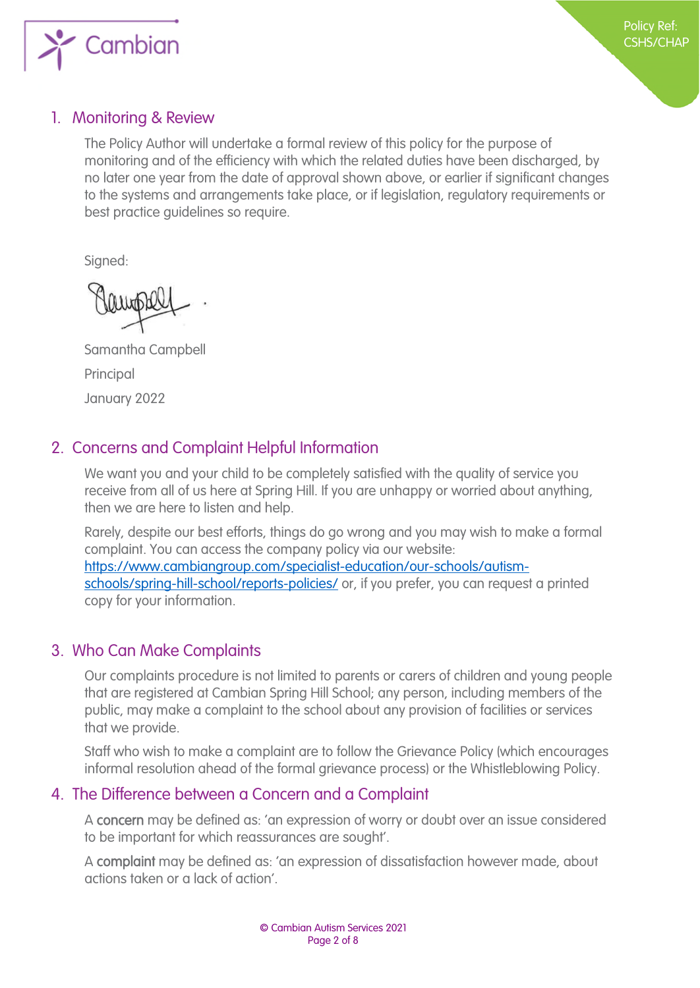

## <span id="page-1-0"></span>1. Monitoring & Review

The Policy Author will undertake a formal review of this policy for the purpose of monitoring and of the efficiency with which the related duties have been discharged, by no later one year from the date of approval shown above, or earlier if significant changes to the systems and arrangements take place, or if legislation, regulatory requirements or best practice guidelines so require.

Signed:

Samantha Campbell Principal January 2022

# <span id="page-1-1"></span>2. Concerns and Complaint Helpful Information

We want you and your child to be completely satisfied with the quality of service you receive from all of us here at Spring Hill. If you are unhappy or worried about anything, then we are here to listen and help.

Rarely, despite our best efforts, things do go wrong and you may wish to make a formal complaint. You can access the company policy via our website: [https://www.cambiangroup.com/specialist-education/our-schools/autism](https://www.cambiangroup.com/specialist-education/our-schools/autism-schools/spring-hill-school/reports-policies/)[schools/spring-hill-school/reports-policies/](https://www.cambiangroup.com/specialist-education/our-schools/autism-schools/spring-hill-school/reports-policies/) or, if you prefer, you can request a printed copy for your information.

# <span id="page-1-2"></span>3. Who Can Make Complaints

Our complaints procedure is not limited to parents or carers of children and young people that are registered at Cambian Spring Hill School; any person, including members of the public, may make a complaint to the school about any provision of facilities or services that we provide.

Staff who wish to make a complaint are to follow the Grievance Policy (which encourages informal resolution ahead of the formal grievance process) or the Whistleblowing Policy.

# <span id="page-1-3"></span>4. The Difference between a Concern and a Complaint

A concern may be defined as: 'an expression of worry or doubt over an issue considered to be important for which reassurances are sought'.

A complaint may be defined as: 'an expression of dissatisfaction however made, about actions taken or a lack of action'.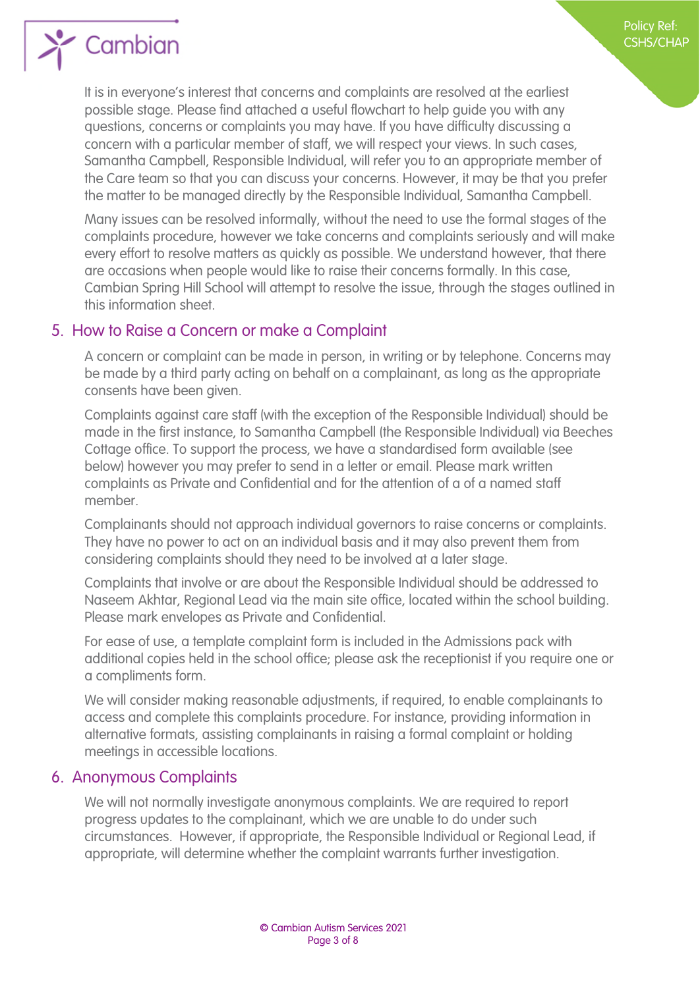

It is in everyone's interest that concerns and complaints are resolved at the earliest possible stage. Please find attached a useful flowchart to help guide you with any questions, concerns or complaints you may have. If you have difficulty discussing a concern with a particular member of staff, we will respect your views. In such cases, Samantha Campbell, Responsible Individual, will refer you to an appropriate member of the Care team so that you can discuss your concerns. However, it may be that you prefer the matter to be managed directly by the Responsible Individual, Samantha Campbell.

Policy Ref: CSHS/CHAP

Many issues can be resolved informally, without the need to use the formal stages of the complaints procedure, however we take concerns and complaints seriously and will make every effort to resolve matters as quickly as possible. We understand however, that there are occasions when people would like to raise their concerns formally. In this case, Cambian Spring Hill School will attempt to resolve the issue, through the stages outlined in this information sheet.

#### <span id="page-2-0"></span>5. How to Raise a Concern or make a Complaint

A concern or complaint can be made in person, in writing or by telephone. Concerns may be made by a third party acting on behalf on a complainant, as long as the appropriate consents have been given.

Complaints against care staff (with the exception of the Responsible Individual) should be made in the first instance, to Samantha Campbell (the Responsible Individual) via Beeches Cottage office. To support the process, we have a standardised form available (see below) however you may prefer to send in a letter or email. Please mark written complaints as Private and Confidential and for the attention of a of a named staff member.

Complainants should not approach individual governors to raise concerns or complaints. They have no power to act on an individual basis and it may also prevent them from considering complaints should they need to be involved at a later stage.

Complaints that involve or are about the Responsible Individual should be addressed to Naseem Akhtar, Regional Lead via the main site office, located within the school building. Please mark envelopes as Private and Confidential.

For ease of use, a template complaint form is included in the Admissions pack with additional copies held in the school office; please ask the receptionist if you require one or a compliments form.

We will consider making reasonable adjustments, if required, to enable complainants to access and complete this complaints procedure. For instance, providing information in alternative formats, assisting complainants in raising a formal complaint or holding meetings in accessible locations.

#### <span id="page-2-1"></span>6. Anonymous Complaints

We will not normally investigate anonymous complaints. We are required to report progress updates to the complainant, which we are unable to do under such circumstances. However, if appropriate, the Responsible Individual or Regional Lead, if appropriate, will determine whether the complaint warrants further investigation.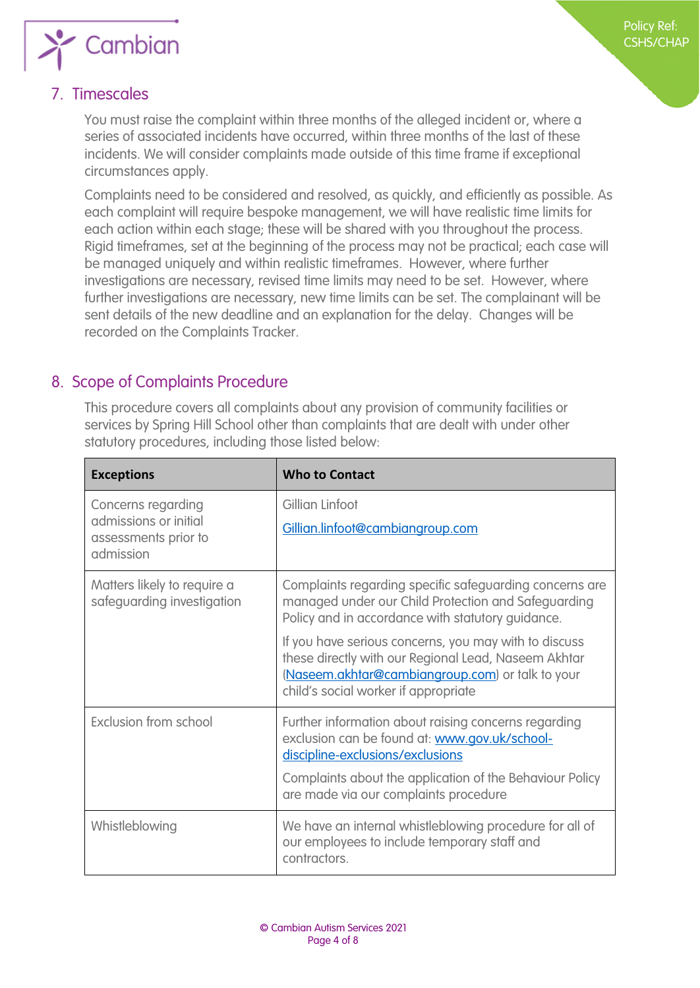

# <span id="page-3-0"></span>7. Timescales

You must raise the complaint within three months of the alleged incident or, where a series of associated incidents have occurred, within three months of the last of these incidents. We will consider complaints made outside of this time frame if exceptional circumstances apply.

Complaints need to be considered and resolved, as quickly, and efficiently as possible. As each complaint will require bespoke management, we will have realistic time limits for each action within each stage; these will be shared with you throughout the process. Rigid timeframes, set at the beginning of the process may not be practical; each case will be managed uniquely and within realistic timeframes. However, where further investigations are necessary, revised time limits may need to be set. However, where further investigations are necessary, new time limits can be set. The complainant will be sent details of the new deadline and an explanation for the delay. Changes will be recorded on the Complaints Tracker.

# <span id="page-3-1"></span>8. Scope of Complaints Procedure

This procedure covers all complaints about any provision of community facilities or services by Spring Hill School other than complaints that are dealt with under other statutory procedures, including those listed below:

| <b>Exceptions</b>                                                                | <b>Who to Contact</b>                                                                                                                                                                                     |
|----------------------------------------------------------------------------------|-----------------------------------------------------------------------------------------------------------------------------------------------------------------------------------------------------------|
| Concerns regarding<br>admissions or initial<br>assessments prior to<br>admission | Gillian Linfoot<br>Gillian.linfoot@cambiangroup.com                                                                                                                                                       |
| Matters likely to require a<br>safeguarding investigation                        | Complaints regarding specific safeguarding concerns are<br>managed under our Child Protection and Safeguarding<br>Policy and in accordance with statutory guidance.                                       |
|                                                                                  | If you have serious concerns, you may with to discuss<br>these directly with our Regional Lead, Naseem Akhtar<br>(Naseem.akhtar@cambiangroup.com) or talk to your<br>child's social worker if appropriate |
| <b>Exclusion from school</b>                                                     | Further information about raising concerns regarding<br>exclusion can be found at: www.gov.uk/school-<br>discipline-exclusions/exclusions                                                                 |
|                                                                                  | Complaints about the application of the Behaviour Policy<br>are made via our complaints procedure                                                                                                         |
| Whistleblowing                                                                   | We have an internal whistleblowing procedure for all of<br>our employees to include temporary staff and<br>contractors.                                                                                   |

Policy Ref: CSHS/CHAP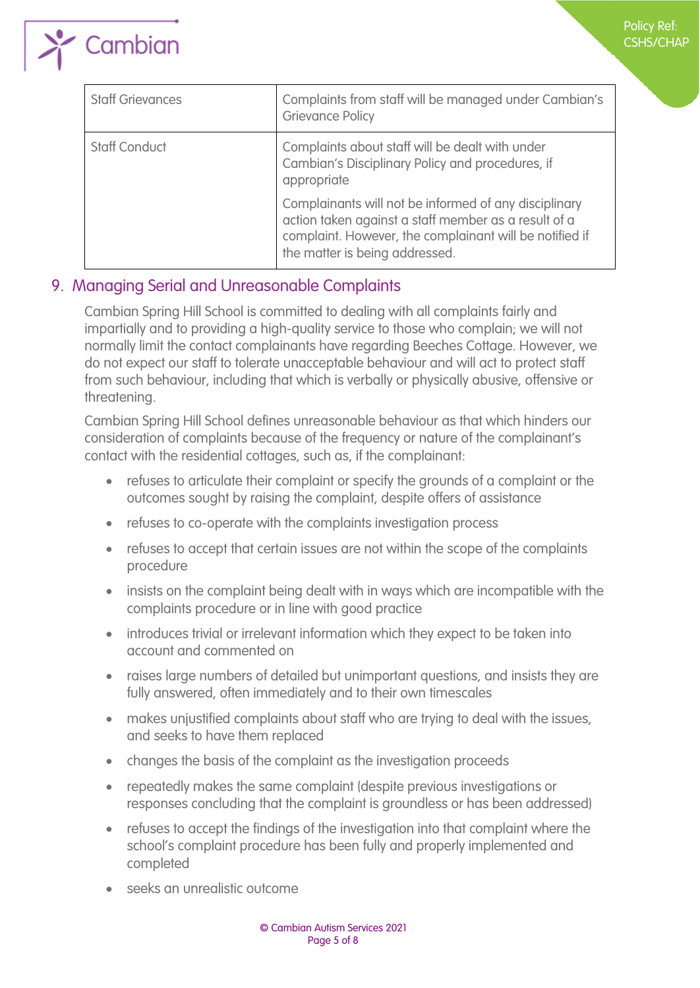

| $\blacktriangleleft$ | $\sum$ Cambian |  |  |
|----------------------|----------------|--|--|
|                      |                |  |  |

| <b>Staff Grievances</b> | Complaints from staff will be managed under Cambian's<br><b>Grievance Policy</b>                                                                                                                           |
|-------------------------|------------------------------------------------------------------------------------------------------------------------------------------------------------------------------------------------------------|
| <b>Staff Conduct</b>    | Complaints about staff will be dealt with under<br>Cambian's Disciplinary Policy and procedures, if<br>appropriate                                                                                         |
|                         | Complainants will not be informed of any disciplinary<br>action taken against a staff member as a result of a<br>complaint. However, the complainant will be notified if<br>the matter is being addressed. |

## <span id="page-4-0"></span>9. Managing Serial and Unreasonable Complaints

Cambian Spring Hill School is committed to dealing with all complaints fairly and impartially and to providing a high-quality service to those who complain; we will not normally limit the contact complainants have regarding Beeches Cottage. However, we do not expect our staff to tolerate unacceptable behaviour and will act to protect staff from such behaviour, including that which is verbally or physically abusive, offensive or threatening.

Cambian Spring Hill School defines unreasonable behaviour as that which hinders our consideration of complaints because of the frequency or nature of the complainant's contact with the residential cottages, such as, if the complainant:

- refuses to articulate their complaint or specify the grounds of a complaint or the outcomes sought by raising the complaint, despite offers of assistance
- refuses to co-operate with the complaints investigation process
- refuses to accept that certain issues are not within the scope of the complaints procedure
- insists on the complaint being dealt with in ways which are incompatible with the complaints procedure or in line with good practice
- introduces trivial or irrelevant information which they expect to be taken into account and commented on
- raises large numbers of detailed but unimportant questions, and insists they are fully answered, often immediately and to their own timescales
- makes unjustified complaints about staff who are trying to deal with the issues, and seeks to have them replaced
- changes the basis of the complaint as the investigation proceeds
- repeatedly makes the same complaint (despite previous investigations or responses concluding that the complaint is groundless or has been addressed)
- refuses to accept the findings of the investigation into that complaint where the school's complaint procedure has been fully and properly implemented and completed
- seeks an unrealistic outcome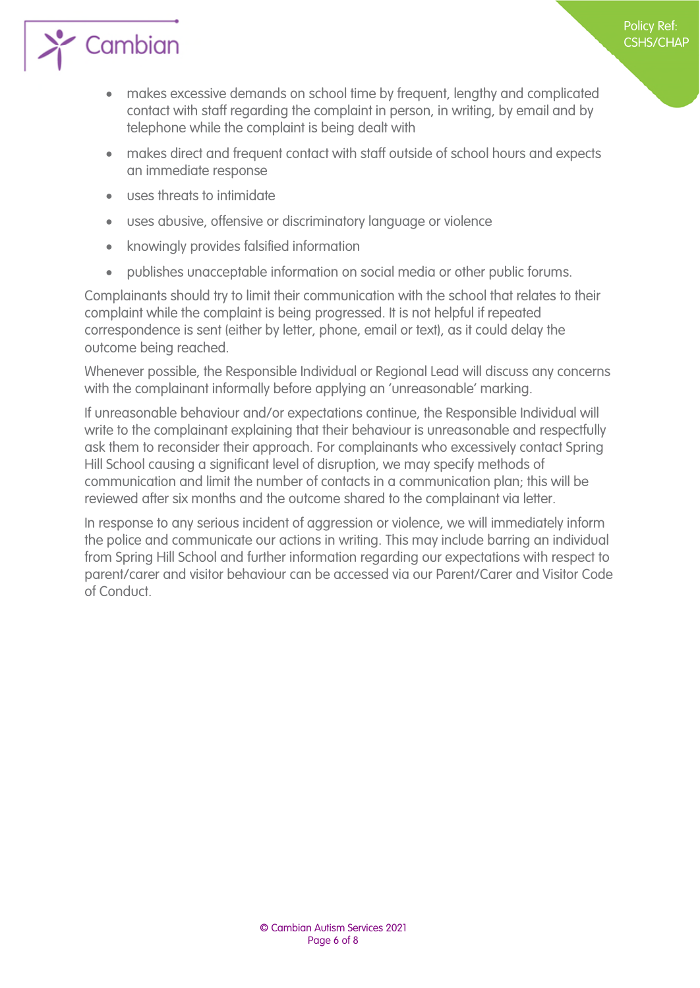

• makes excessive demands on school time by frequent, lengthy and complicated contact with staff regarding the complaint in person, in writing, by email and by telephone while the complaint is being dealt with

Policy Ref: CSHS/CHAP

- makes direct and frequent contact with staff outside of school hours and expects an immediate response
- uses threats to intimidate
- uses abusive, offensive or discriminatory language or violence
- knowingly provides falsified information
- publishes unacceptable information on social media or other public forums.

Complainants should try to limit their communication with the school that relates to their complaint while the complaint is being progressed. It is not helpful if repeated correspondence is sent (either by letter, phone, email or text), as it could delay the outcome being reached.

Whenever possible, the Responsible Individual or Regional Lead will discuss any concerns with the complainant informally before applying an 'unreasonable' marking.

If unreasonable behaviour and/or expectations continue, the Responsible Individual will write to the complainant explaining that their behaviour is unreasonable and respectfully ask them to reconsider their approach. For complainants who excessively contact Spring Hill School causing a significant level of disruption, we may specify methods of communication and limit the number of contacts in a communication plan; this will be reviewed after six months and the outcome shared to the complainant via letter.

In response to any serious incident of aggression or violence, we will immediately inform the police and communicate our actions in writing. This may include barring an individual from Spring Hill School and further information regarding our expectations with respect to parent/carer and visitor behaviour can be accessed via our Parent/Carer and Visitor Code of Conduct.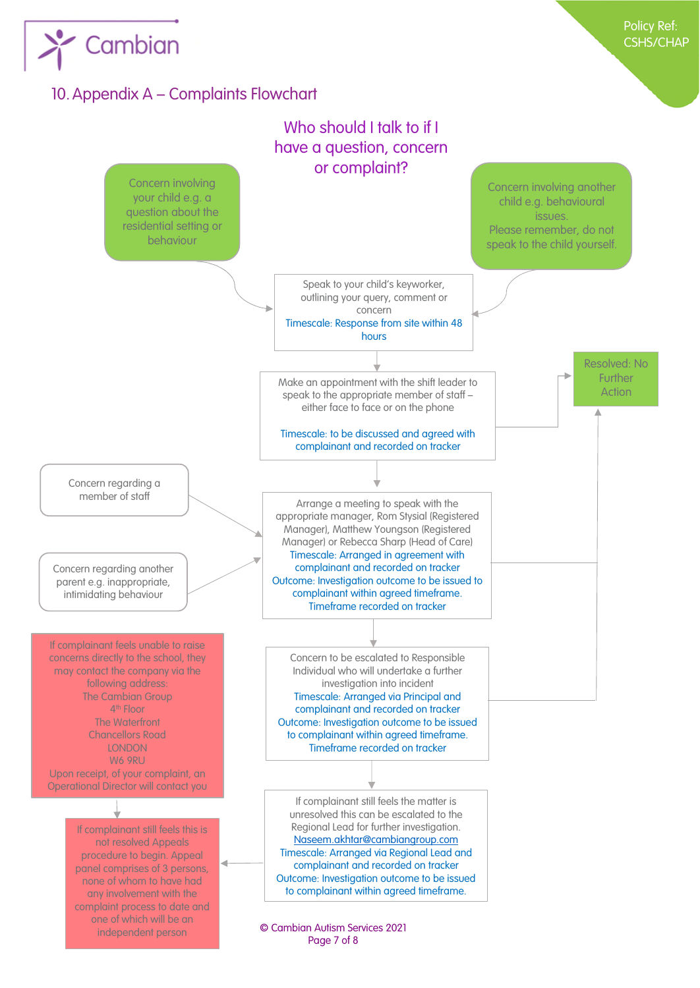<span id="page-6-0"></span>